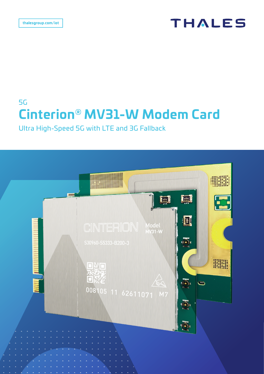# **THALES**

# 5G **Cinterion® MV31-W Modem Card**

Ultra High-Speed 5G with LTE and 3G Fallback

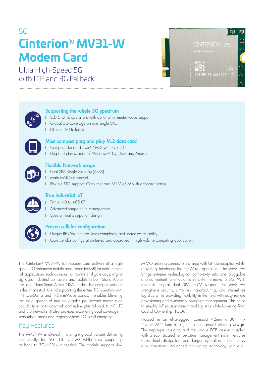# 5G **Cinterion® MV31-W Modem Card**

Ultra High-Speed 5G with LTE and 3G Fallback





#### Supporting the whole 5G spectrum

**I** Sub 6 GHZ operation, with optional millimeter wave support **Global 5G coverage on one single SKU** LTE Cat. 20 fallback



### Most compact plug and play M.2 data card

**Compact standard 30x42 M.2 with PCIe3.0** 

**Plug and play support of Windows® 10, Linux and Android** 



### Flexible Network usage

- **Dual SIM Single Standby (DSSS)**
- **Main MNOs approval**
- **Flexible SIM support: Consumer and M2M eSIM with onboard option**



## True Industrial IoT

Temp:  $-40$  to  $+85$   $C^{\circ}$ 

- Advanced temperature management
- Special heat dissipation design



#### Proven cellular configuration

**I** Unique RF Core encapsulates complexity and increases reliability

**I** Core cellular configuration tested and approved in high volume computing application

The Cinterion® MV31-W IoT modem card delivers ultra highspeed 5G enhanced mobile broadband (eMBB) for performance IoT applications such as industrial routers and gateways, digital signage, industrial computers and tablets in both Stand Alone (SA) and None Stand Alone (NSA) modes. The compact solution is the smallest of its kind supporting the entire 5G spectrum with FR1 sub-6GHz and FR2 mmWave bands. It enables blistering fast data speeds of multiple gigabit per second transmission capability in both downlink and uplink plus fallback to 4G LTE and 3G networks. It also provides excellent global coverage in both urban areas and regions where 5G is still emerging.

## Key Features:

The MV31-W is offered in a single global variant delivering connectivity for 5G, LTE Cat.20 while also supporting fall-back to 3G HSPA+ if needed. The module supports  $4x4$ 

MIMO antenna connections shared with GNSS reception whilst providing interfaces for mmWave operation. The MV31-W brings extreme technological complexity into one pluggable and convenient form factor to simplify the move to 5G. With optional integral dual SIM, eSIM support, the MV31-W strengthens security, simplifies manufacturing, and streamlines logistics while providing flexibility in the field with easy remote provisioning and dynamic subscription management. This helps to simplify IoT solution design and logistics while lowering Total Cost of Ownership (TCO).

Housed in an ultra-rugged, compact 42mm x 30mm x 2.5mm M.2 form factor, it has an award winning design. The step type shielding and the unique PCB design coupled with a sophisticated temperature management system ensures better heat dissipation and longer operation under heavy duty conditions. Advanced positioning technology with dual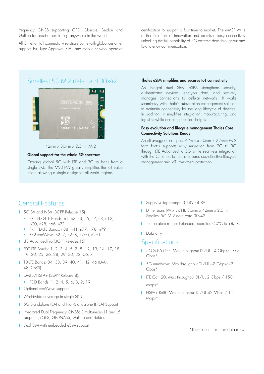frequency GNSS supporting GPS, Glonass, Beidou and Galileo for precise positioning anywhere in the world.

All Cinterion IoT connectivity solutions come with global customer support, Full Type Approval (FTA), and mobile network operator

certification to support a fast time to market. The MV31-W is at the fore front of innovation and promises easy connectivity unlocking the full capability of 5G extreme data throughput and low latency communication.

## Smallest 5G M.2 data card 30x42



42mm x 30mm x 2.5mm M.2

#### Global support for the whole 5G spectrum

Offering global 5G with LTE and 3G fall-back from a single SKU, the MV31-W greatly simplifies the IoT value chain allowing a single design for all world regions.

#### Thales eSIM simplifies and secures IoT connectivity

An integral dual SIM, eSIM strengthens security, authenticates devices, encrypts data, and securely manages connections to cellular networks. It works seamlessly with Thale's subscription management solution to maintain connectivity for the long lifecycle of devices. In addition, it simplifies integration, manufacturing, and logistics while enabling smaller designs.

#### Easy evolution and lifecycle management Thales Core Connectivity Solutions Ready

An ultra-rugged, compact 42mm x 30mm x 2.5mm M.2 form factor supports easy migration from 2G to 3G through LTE Advanced to 5G while seamless integration with the Cinterion IoT Suite ensures cost-effective lifecycle management and IoT investment protection.

## General Features:

- 1 5G SA and NSA (3GPP Release 15)
	- FR1 FDD-LTE Bands: n1, n2, n3, n5, n7, n8, n12, n20, n28, n66, n71
	- FR1 TD-LTE Bands: n38, n41, n77, n78, n79
	- FR2 mmWave: n257, n258, n260, n261
- **LTE Advanced-Pro (3GPP Release 15)**
- FDD-LTE Bands: 1, 2, 3, 4, 5, 7, 8, 12, 13, 14, 17, 18, 19, 20, 25, 26, 28, 29, 30, 32, 66, 71
- **TD-LTE Bands: 34, 38, 39, 40, 41, 42, 46 (LAA),** 48 (CBRS)
- UMTS/HSPA+ (3GPP Release 8):
	- FDD Bands: 1, 2, 4, 5, 6, 8, 9, 19
- **C** Optional mmWave support
- **Norldwide coverage in single SKU**
- **1** 5G Standalone (SA) and Non-Standalone (NSA) Support
- I Integrated Dual Frequency GNSS: Simultaneous L1 and L5 supporting GPS, GLONASS, Galileo and Beidou
- Dual SIM with embedded eSIM support
- Supply voltage range 3.14V 4.8V
- Dimensions ( $W \times L \times H$ ): 30mm  $\times$  42mm  $\times$  2.5 mm -Smallest 5G M.2 data card 30x42
- Temperature range: Extended operation -40°C to +85°C
- **D**ata only

#### Specifications:

- 1 5G Sub6 Ghz: Max throughput DL/UL ~4 Gbps/ ~0.7 G<sub>bps</sub>\*
- 5G mmWave: Max throughput DL/UL ~7 Gbps/~3 Gbps\*
- LTE Cat. 20: Max throughput DL/UL 2 Gbps / 150 Mbps\*
- HSPA+ Rel8: Max throughput DL/UL 42 Mbps / 11 Mbps\*

\*Theoretical maximum data rates